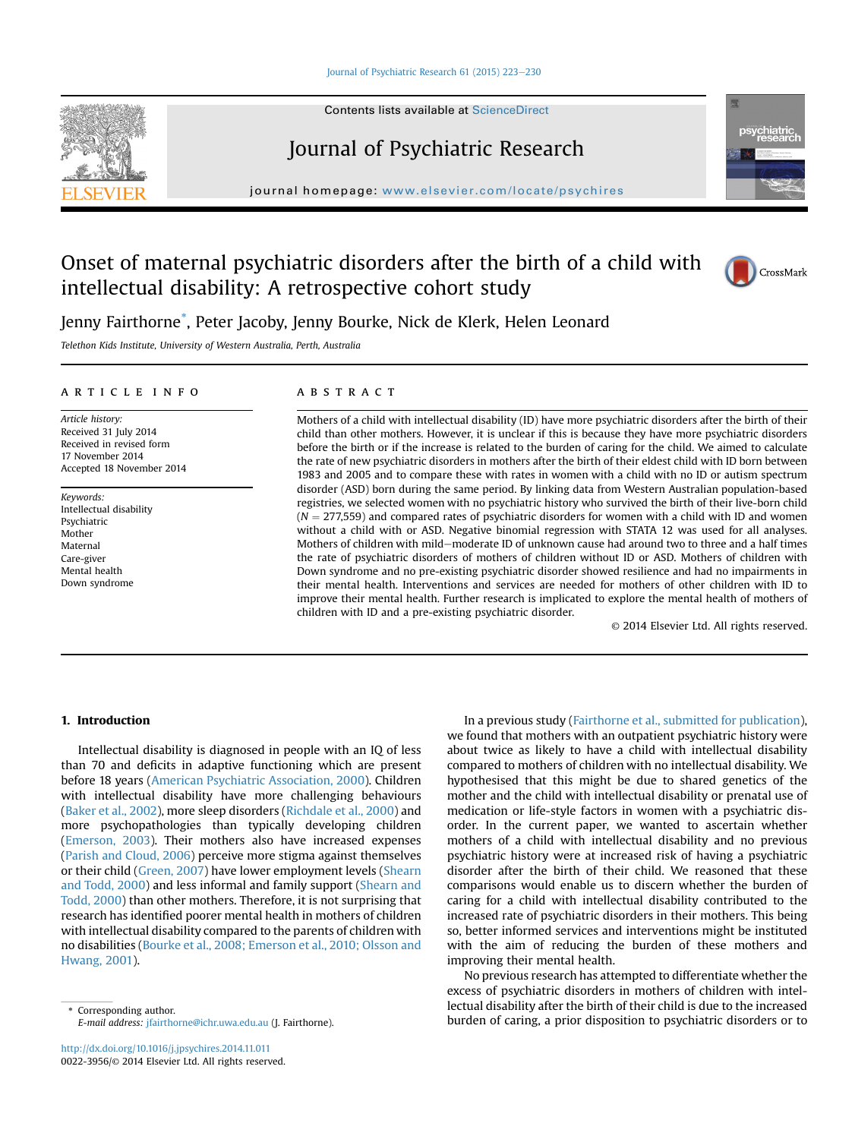#### [Journal of Psychiatric Research 61 \(2015\) 223](http://dx.doi.org/10.1016/j.jpsychires.2014.11.011)-[230](http://dx.doi.org/10.1016/j.jpsychires.2014.11.011)



Contents lists available at ScienceDirect

# Journal of Psychiatric Research

journal homepage: [www.elsevier.com/locate/psychires](http://www.elsevier.com/locate/psychires)

# Onset of maternal psychiatric disorders after the birth of a child with intellectual disability: A retrospective cohort study



CrossMark

Jenny Fairthorne\* , Peter Jacoby, Jenny Bourke, Nick de Klerk, Helen Leonard

Telethon Kids Institute, University of Western Australia, Perth, Australia

#### article info

Article history: Received 31 July 2014 Received in revised form 17 November 2014 Accepted 18 November 2014

Keywords: Intellectual disability Psychiatric Mother Maternal Care-giver Mental health Down syndrome

# **ABSTRACT**

Mothers of a child with intellectual disability (ID) have more psychiatric disorders after the birth of their child than other mothers. However, it is unclear if this is because they have more psychiatric disorders before the birth or if the increase is related to the burden of caring for the child. We aimed to calculate the rate of new psychiatric disorders in mothers after the birth of their eldest child with ID born between 1983 and 2005 and to compare these with rates in women with a child with no ID or autism spectrum disorder (ASD) born during the same period. By linking data from Western Australian population-based registries, we selected women with no psychiatric history who survived the birth of their live-born child  $(N = 277,559)$  and compared rates of psychiatric disorders for women with a child with ID and women without a child with or ASD. Negative binomial regression with STATA 12 was used for all analyses. Mothers of children with mild-moderate ID of unknown cause had around two to three and a half times the rate of psychiatric disorders of mothers of children without ID or ASD. Mothers of children with Down syndrome and no pre-existing psychiatric disorder showed resilience and had no impairments in their mental health. Interventions and services are needed for mothers of other children with ID to improve their mental health. Further research is implicated to explore the mental health of mothers of children with ID and a pre-existing psychiatric disorder.

© 2014 Elsevier Ltd. All rights reserved.

# 1. Introduction

Intellectual disability is diagnosed in people with an IQ of less than 70 and deficits in adaptive functioning which are present before 18 years [\(American Psychiatric Association, 2000\)](#page--1-0). Children with intellectual disability have more challenging behaviours ([Baker et al., 2002](#page--1-0)), more sleep disorders [\(Richdale et al., 2000\)](#page--1-0) and more psychopathologies than typically developing children ([Emerson, 2003\)](#page--1-0). Their mothers also have increased expenses ([Parish and Cloud, 2006\)](#page--1-0) perceive more stigma against themselves or their child [\(Green, 2007](#page--1-0)) have lower employment levels [\(Shearn](#page--1-0) [and Todd, 2000](#page--1-0)) and less informal and family support ([Shearn and](#page--1-0) [Todd, 2000\)](#page--1-0) than other mothers. Therefore, it is not surprising that research has identified poorer mental health in mothers of children with intellectual disability compared to the parents of children with no disabilities [\(Bourke et al., 2008; Emerson et al., 2010; Olsson and](#page--1-0) [Hwang, 2001\)](#page--1-0).

E-mail address: [jfairthorne@ichr.uwa.edu.au](mailto:jfairthorne@ichr.uwa.edu.au) (J. Fairthorne).

In a previous study [\(Fairthorne et al., submitted for publication\)](#page--1-0), we found that mothers with an outpatient psychiatric history were about twice as likely to have a child with intellectual disability compared to mothers of children with no intellectual disability. We hypothesised that this might be due to shared genetics of the mother and the child with intellectual disability or prenatal use of medication or life-style factors in women with a psychiatric disorder. In the current paper, we wanted to ascertain whether mothers of a child with intellectual disability and no previous psychiatric history were at increased risk of having a psychiatric disorder after the birth of their child. We reasoned that these comparisons would enable us to discern whether the burden of caring for a child with intellectual disability contributed to the increased rate of psychiatric disorders in their mothers. This being so, better informed services and interventions might be instituted with the aim of reducing the burden of these mothers and improving their mental health.

No previous research has attempted to differentiate whether the excess of psychiatric disorders in mothers of children with intellectual disability after the birth of their child is due to the increased burden of caring, a prior disposition to psychiatric disorders or to \* Corresponding author.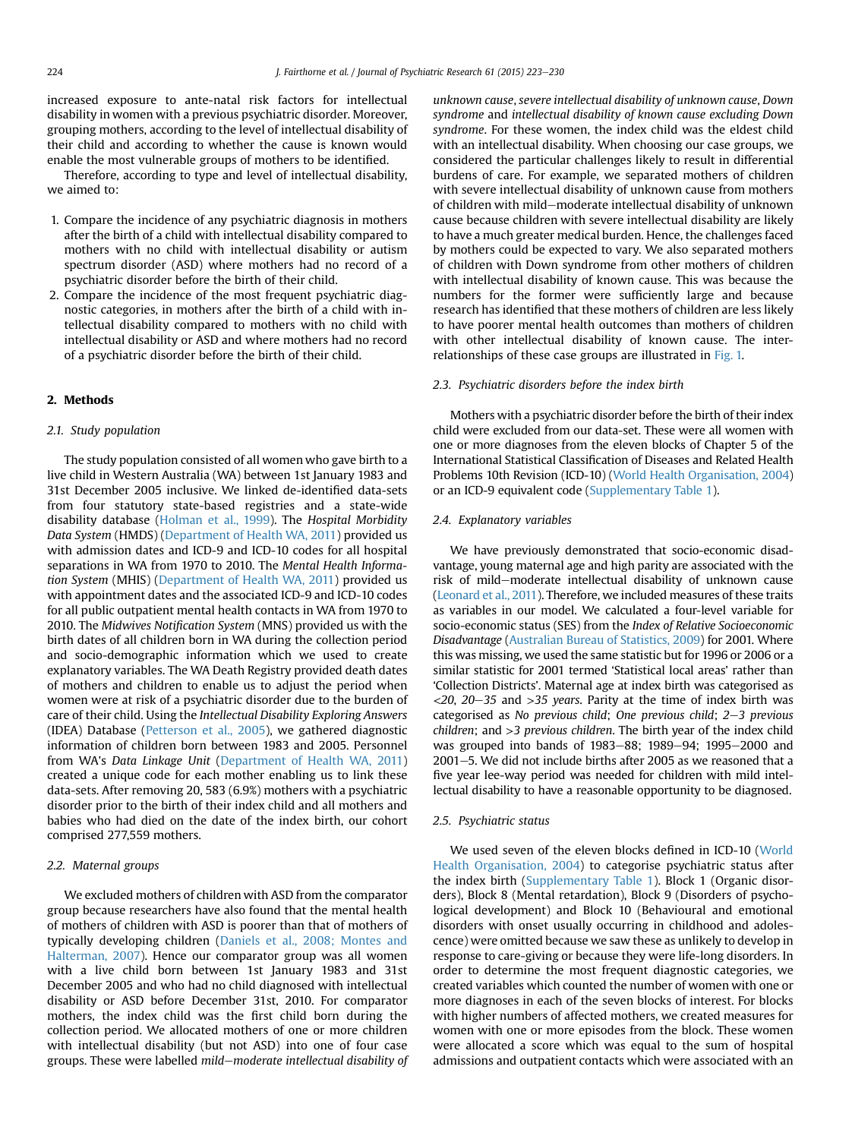increased exposure to ante-natal risk factors for intellectual disability in women with a previous psychiatric disorder. Moreover, grouping mothers, according to the level of intellectual disability of their child and according to whether the cause is known would enable the most vulnerable groups of mothers to be identified.

Therefore, according to type and level of intellectual disability, we aimed to:

- 1. Compare the incidence of any psychiatric diagnosis in mothers after the birth of a child with intellectual disability compared to mothers with no child with intellectual disability or autism spectrum disorder (ASD) where mothers had no record of a psychiatric disorder before the birth of their child.
- 2. Compare the incidence of the most frequent psychiatric diagnostic categories, in mothers after the birth of a child with intellectual disability compared to mothers with no child with intellectual disability or ASD and where mothers had no record of a psychiatric disorder before the birth of their child.

## 2. Methods

#### 2.1. Study population

The study population consisted of all women who gave birth to a live child in Western Australia (WA) between 1st January 1983 and 31st December 2005 inclusive. We linked de-identified data-sets from four statutory state-based registries and a state-wide disability database [\(Holman et al., 1999](#page--1-0)). The Hospital Morbidity Data System (HMDS) ([Department of Health WA, 2011](#page--1-0)) provided us with admission dates and ICD-9 and ICD-10 codes for all hospital separations in WA from 1970 to 2010. The Mental Health Information System (MHIS) ([Department of Health WA, 2011](#page--1-0)) provided us with appointment dates and the associated ICD-9 and ICD-10 codes for all public outpatient mental health contacts in WA from 1970 to 2010. The Midwives Notification System (MNS) provided us with the birth dates of all children born in WA during the collection period and socio-demographic information which we used to create explanatory variables. The WA Death Registry provided death dates of mothers and children to enable us to adjust the period when women were at risk of a psychiatric disorder due to the burden of care of their child. Using the Intellectual Disability Exploring Answers (IDEA) Database ([Petterson et al., 2005\)](#page--1-0), we gathered diagnostic information of children born between 1983 and 2005. Personnel from WA's Data Linkage Unit ([Department of Health WA, 2011\)](#page--1-0) created a unique code for each mother enabling us to link these data-sets. After removing 20, 583 (6.9%) mothers with a psychiatric disorder prior to the birth of their index child and all mothers and babies who had died on the date of the index birth, our cohort comprised 277,559 mothers.

# 2.2. Maternal groups

We excluded mothers of children with ASD from the comparator group because researchers have also found that the mental health of mothers of children with ASD is poorer than that of mothers of typically developing children [\(Daniels et al., 2008; Montes and](#page--1-0) [Halterman, 2007\)](#page--1-0). Hence our comparator group was all women with a live child born between 1st January 1983 and 31st December 2005 and who had no child diagnosed with intellectual disability or ASD before December 31st, 2010. For comparator mothers, the index child was the first child born during the collection period. We allocated mothers of one or more children with intellectual disability (but not ASD) into one of four case groups. These were labelled mild-moderate intellectual disability of unknown cause, severe intellectual disability of unknown cause, Down syndrome and intellectual disability of known cause excluding Down syndrome. For these women, the index child was the eldest child with an intellectual disability. When choosing our case groups, we considered the particular challenges likely to result in differential burdens of care. For example, we separated mothers of children with severe intellectual disability of unknown cause from mothers of children with mild–moderate intellectual disability of unknown cause because children with severe intellectual disability are likely to have a much greater medical burden. Hence, the challenges faced by mothers could be expected to vary. We also separated mothers of children with Down syndrome from other mothers of children with intellectual disability of known cause. This was because the numbers for the former were sufficiently large and because research has identified that these mothers of children are less likely to have poorer mental health outcomes than mothers of children with other intellectual disability of known cause. The interrelationships of these case groups are illustrated in [Fig. 1.](#page--1-0)

#### 2.3. Psychiatric disorders before the index birth

Mothers with a psychiatric disorder before the birth of their index child were excluded from our data-set. These were all women with one or more diagnoses from the eleven blocks of Chapter 5 of the International Statistical Classification of Diseases and Related Health Problems 10th Revision (ICD-10) [\(World Health Organisation, 2004\)](#page--1-0) or an ICD-9 equivalent code (Supplementary Table 1).

## 2.4. Explanatory variables

We have previously demonstrated that socio-economic disadvantage, young maternal age and high parity are associated with the risk of mild-moderate intellectual disability of unknown cause ([Leonard et al., 2011](#page--1-0)). Therefore, we included measures of these traits as variables in our model. We calculated a four-level variable for socio-economic status (SES) from the Index of Relative Socioeconomic Disadvantage [\(Australian Bureau of Statistics, 2009\)](#page--1-0) for 2001. Where this was missing, we used the same statistic but for 1996 or 2006 or a similar statistic for 2001 termed 'Statistical local areas' rather than 'Collection Districts'. Maternal age at index birth was categorised as  $<$ 20, 20–35 and  $>$ 35 years. Parity at the time of index birth was categorised as No previous child; One previous child;  $2-3$  previous children; and >3 previous children. The birth year of the index child was grouped into bands of 1983–88; 1989–94; 1995–2000 and  $2001-5$ . We did not include births after 2005 as we reasoned that a five year lee-way period was needed for children with mild intellectual disability to have a reasonable opportunity to be diagnosed.

#### 2.5. Psychiatric status

We used seven of the eleven blocks defined in ICD-10 [\(World](#page--1-0) [Health Organisation, 2004](#page--1-0)) to categorise psychiatric status after the index birth (Supplementary Table 1). Block 1 (Organic disorders), Block 8 (Mental retardation), Block 9 (Disorders of psychological development) and Block 10 (Behavioural and emotional disorders with onset usually occurring in childhood and adolescence) were omitted because we saw these as unlikely to develop in response to care-giving or because they were life-long disorders. In order to determine the most frequent diagnostic categories, we created variables which counted the number of women with one or more diagnoses in each of the seven blocks of interest. For blocks with higher numbers of affected mothers, we created measures for women with one or more episodes from the block. These women were allocated a score which was equal to the sum of hospital admissions and outpatient contacts which were associated with an